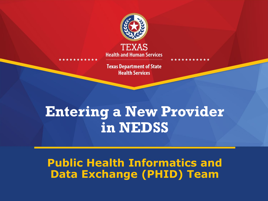

**Health and Human Services** 

**Texas Department of State Health Services** 

### **Entering a New Provider in NEDSS**

#### **Public Health Informatics and Data Exchange (PHID) Team**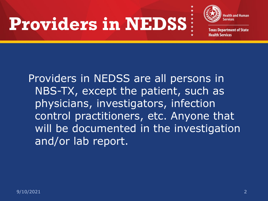# **Providers in NEDSS**



**Texas Department of State Health Services** 

Providers in NEDSS are all persons in NBS-TX, except the patient, such as physicians, investigators, infection control practitioners, etc. Anyone that will be documented in the investigation and/or lab report.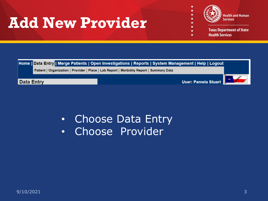### **Add New Provider**



★  $\star$  $\star$ 

★★

 $\star$ 

 $\star$ 

÷

**Texas Department of State Health Services** 



• Choose Data Entry • Choose Provider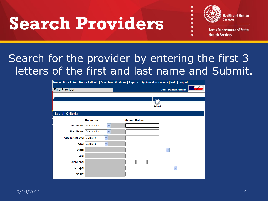# **Search Providers**



**Texas Department of State Health Services** 

### Search for the provider by entering the first 3 letters of the first and last name and Submit.

| Home   Data Entry   Merge Patients   Open Investigations   Reports   System Management   Help   Logout |                                |                        |                     |  |
|--------------------------------------------------------------------------------------------------------|--------------------------------|------------------------|---------------------|--|
| <b>Find Provider</b>                                                                                   |                                |                        | User: Pamela Stuart |  |
|                                                                                                        |                                |                        |                     |  |
|                                                                                                        |                                |                        |                     |  |
|                                                                                                        |                                |                        | <b>Submit</b>       |  |
|                                                                                                        |                                |                        |                     |  |
| <b>Search Criteria</b>                                                                                 |                                |                        |                     |  |
|                                                                                                        | <b>Operators</b>               | <b>Search Criteria</b> |                     |  |
| Last Name: Starts With                                                                                 | v                              |                        |                     |  |
| First Name: Starts With                                                                                | $\checkmark$                   |                        |                     |  |
| <b>Street Address: Contains</b>                                                                        | $\checkmark$                   |                        |                     |  |
|                                                                                                        | $\checkmark$<br>City: Contains |                        |                     |  |
| State:                                                                                                 |                                |                        | $\checkmark$        |  |
| Zip:                                                                                                   |                                |                        |                     |  |
| Telephone:                                                                                             |                                |                        |                     |  |
| <b>ID Type:</b>                                                                                        |                                |                        | $\checkmark$        |  |
| Value:                                                                                                 |                                |                        |                     |  |
|                                                                                                        |                                |                        |                     |  |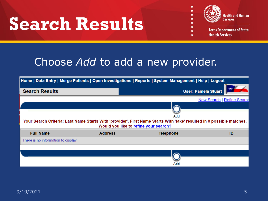## **Search Results**



 $\star$ 

 $\star$ 

 $\star$ 

**Texas Department of State Health Services** 

#### Choose *Add* to add a new provider.

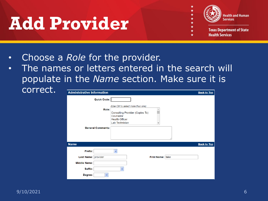## **Add Provider**



**Texas Department of State Health Services** 

- Choose a *Role* for the provider.
- The names or letters entered in the search will populate in the *Name* section. Make sure it is correct.

| <b>Administrative Information</b>                                |                                                                                                                                         | <b>Back to Top</b> |
|------------------------------------------------------------------|-----------------------------------------------------------------------------------------------------------------------------------------|--------------------|
| Quick Code:                                                      |                                                                                                                                         |                    |
| Role:<br><b>General Comments:</b>                                | (Use Ctrl to select more than one)<br>A<br>Consulting Provider (Copies To)<br>Counselor<br><b>Health Officer</b><br>Lab Technician<br>v |                    |
| <b>Name</b>                                                      |                                                                                                                                         | <b>Back to Top</b> |
| Prefix:<br>Last Name: provider<br><b>Middle Name:</b><br>Suffix: | First Name: fake<br>$\checkmark$                                                                                                        |                    |
| Degree:                                                          |                                                                                                                                         |                    |

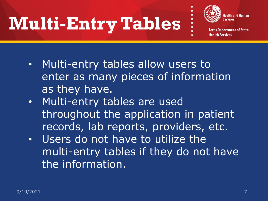# **Multi-Entry Tables**



★ ★ ★ .

**Texas Department of State Health Services** 

- Multi-entry tables allow users to enter as many pieces of information as they have.
- Multi-entry tables are used throughout the application in patient records, lab reports, providers, etc.
- Users do not have to utilize the multi-entry tables if they do not have the information.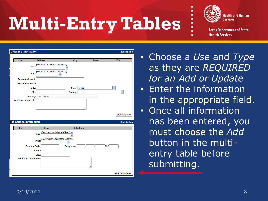# **Multi-Entry Tables**



**Texas Department of State Health Services** 

|                              | <b>Address Information</b>                   |                  |              | <b>Back to Top</b>         |
|------------------------------|----------------------------------------------|------------------|--------------|----------------------------|
| <b>Use</b>                   | <b>Address</b>                               | City             | <b>State</b> | Zip                        |
|                              | (Required for Add/Update Address)<br>Use:    |                  |              |                            |
|                              | (Required for Add/Update Address)<br>Type:   | v                |              |                            |
| <b>Street Address 1:</b>     |                                              |                  |              |                            |
| <b>Street Address 2:</b>     |                                              |                  |              |                            |
|                              | City:                                        | State: Texas     |              | $\checkmark$               |
|                              | Zip:                                         | County:          |              | $\checkmark$               |
|                              | <b>Country: United States</b>                |                  |              |                            |
| <b>Address Comments:</b>     |                                              |                  |              |                            |
|                              |                                              |                  |              |                            |
|                              |                                              |                  |              | <b>Add Address</b>         |
|                              |                                              |                  |              |                            |
|                              |                                              |                  |              |                            |
|                              |                                              |                  |              |                            |
| <b>Use</b>                   | <b>Type</b>                                  | <b>Telephone</b> |              |                            |
|                              | (Required for Add/Update Telephone)          |                  |              |                            |
|                              | Use:                                         |                  |              |                            |
|                              | (Required for Add/Update Telephone)<br>Type: | $\checkmark$     |              |                            |
|                              | <b>Country Code:</b>                         | Telephone:       |              | <b>Back to Top</b><br>Ext: |
|                              | Email:                                       |                  |              |                            |
| <b>Telephone Information</b> | URL:                                         |                  |              |                            |
| <b>Telephone Comments:</b>   |                                              |                  |              |                            |

- Choose a *Use* and *Type*  as they are *REQUIRED for an Add or Update*
- Enter the information in the appropriate field.
- **Once all information** has been entered, you must choose the *Add* button in the multientry table before submitting.